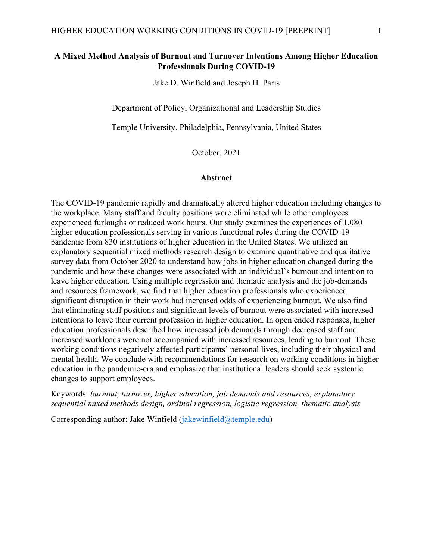# **A Mixed Method Analysis of Burnout and Turnover Intentions Among Higher Education Professionals During COVID-19**

Jake D. Winfield and Joseph H. Paris

Department of Policy, Organizational and Leadership Studies

Temple University, Philadelphia, Pennsylvania, United States

October, 2021

#### **Abstract**

The COVID-19 pandemic rapidly and dramatically altered higher education including changes to the workplace. Many staff and faculty positions were eliminated while other employees experienced furloughs or reduced work hours. Our study examines the experiences of 1,080 higher education professionals serving in various functional roles during the COVID-19 pandemic from 830 institutions of higher education in the United States. We utilized an explanatory sequential mixed methods research design to examine quantitative and qualitative survey data from October 2020 to understand how jobs in higher education changed during the pandemic and how these changes were associated with an individual's burnout and intention to leave higher education. Using multiple regression and thematic analysis and the job-demands and resources framework, we find that higher education professionals who experienced significant disruption in their work had increased odds of experiencing burnout. We also find that eliminating staff positions and significant levels of burnout were associated with increased intentions to leave their current profession in higher education. In open ended responses, higher education professionals described how increased job demands through decreased staff and increased workloads were not accompanied with increased resources, leading to burnout. These working conditions negatively affected participants' personal lives, including their physical and mental health. We conclude with recommendations for research on working conditions in higher education in the pandemic-era and emphasize that institutional leaders should seek systemic changes to support employees.

Keywords: *burnout, turnover, higher education, job demands and resources, explanatory sequential mixed methods design, ordinal regression, logistic regression, thematic analysis*

Corresponding author: Jake Winfield [\(jakewinfield@temple.edu\)](mailto:jakewinfield@temple.edu)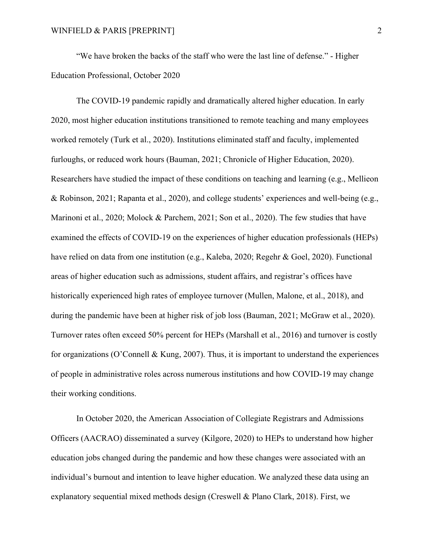"We have broken the backs of the staff who were the last line of defense." - Higher Education Professional, October 2020

The COVID-19 pandemic rapidly and dramatically altered higher education. In early 2020, most higher education institutions transitioned to remote teaching and many employees worked remotely (Turk et al., 2020). Institutions eliminated staff and faculty, implemented furloughs, or reduced work hours (Bauman, 2021; Chronicle of Higher Education, 2020). Researchers have studied the impact of these conditions on teaching and learning (e.g., Mellieon & Robinson, 2021; Rapanta et al., 2020), and college students' experiences and well-being (e.g., Marinoni et al., 2020; Molock & Parchem, 2021; Son et al., 2020). The few studies that have examined the effects of COVID-19 on the experiences of higher education professionals (HEPs) have relied on data from one institution (e.g., Kaleba, 2020; Regehr & Goel, 2020). Functional areas of higher education such as admissions, student affairs, and registrar's offices have historically experienced high rates of employee turnover (Mullen, Malone, et al., 2018), and during the pandemic have been at higher risk of job loss (Bauman, 2021; McGraw et al., 2020). Turnover rates often exceed 50% percent for HEPs (Marshall et al., 2016) and turnover is costly for organizations (O'Connell & Kung, 2007). Thus, it is important to understand the experiences of people in administrative roles across numerous institutions and how COVID-19 may change their working conditions.

In October 2020, the American Association of Collegiate Registrars and Admissions Officers (AACRAO) disseminated a survey (Kilgore, 2020) to HEPs to understand how higher education jobs changed during the pandemic and how these changes were associated with an individual's burnout and intention to leave higher education. We analyzed these data using an explanatory sequential mixed methods design (Creswell & Plano Clark, 2018). First, we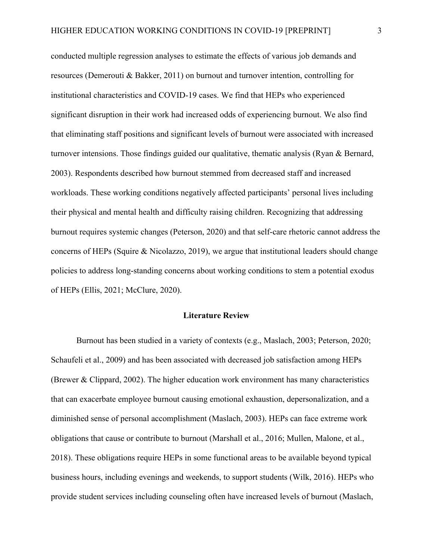conducted multiple regression analyses to estimate the effects of various job demands and resources (Demerouti & Bakker, 2011) on burnout and turnover intention, controlling for institutional characteristics and COVID-19 cases. We find that HEPs who experienced significant disruption in their work had increased odds of experiencing burnout. We also find that eliminating staff positions and significant levels of burnout were associated with increased turnover intensions. Those findings guided our qualitative, thematic analysis (Ryan & Bernard, 2003). Respondents described how burnout stemmed from decreased staff and increased workloads. These working conditions negatively affected participants' personal lives including their physical and mental health and difficulty raising children. Recognizing that addressing burnout requires systemic changes (Peterson, 2020) and that self-care rhetoric cannot address the concerns of HEPs (Squire & Nicolazzo, 2019), we argue that institutional leaders should change policies to address long-standing concerns about working conditions to stem a potential exodus of HEPs (Ellis, 2021; McClure, 2020).

## **Literature Review**

Burnout has been studied in a variety of contexts (e.g., Maslach, 2003; Peterson, 2020; Schaufeli et al., 2009) and has been associated with decreased job satisfaction among HEPs (Brewer & Clippard, 2002). The higher education work environment has many characteristics that can exacerbate employee burnout causing emotional exhaustion, depersonalization, and a diminished sense of personal accomplishment (Maslach, 2003). HEPs can face extreme work obligations that cause or contribute to burnout (Marshall et al., 2016; Mullen, Malone, et al., 2018). These obligations require HEPs in some functional areas to be available beyond typical business hours, including evenings and weekends, to support students (Wilk, 2016). HEPs who provide student services including counseling often have increased levels of burnout (Maslach,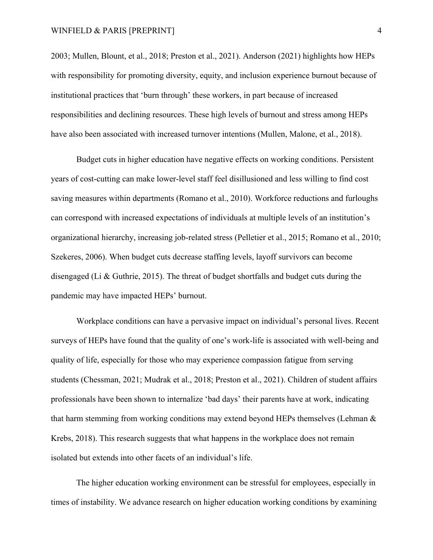2003; Mullen, Blount, et al., 2018; Preston et al., 2021). Anderson (2021) highlights how HEPs with responsibility for promoting diversity, equity, and inclusion experience burnout because of institutional practices that 'burn through' these workers, in part because of increased responsibilities and declining resources. These high levels of burnout and stress among HEPs have also been associated with increased turnover intentions (Mullen, Malone, et al., 2018).

Budget cuts in higher education have negative effects on working conditions. Persistent years of cost-cutting can make lower-level staff feel disillusioned and less willing to find cost saving measures within departments (Romano et al., 2010). Workforce reductions and furloughs can correspond with increased expectations of individuals at multiple levels of an institution's organizational hierarchy, increasing job-related stress (Pelletier et al., 2015; Romano et al., 2010; Szekeres, 2006). When budget cuts decrease staffing levels, layoff survivors can become disengaged (Li & Guthrie, 2015). The threat of budget shortfalls and budget cuts during the pandemic may have impacted HEPs' burnout.

Workplace conditions can have a pervasive impact on individual's personal lives. Recent surveys of HEPs have found that the quality of one's work-life is associated with well-being and quality of life, especially for those who may experience compassion fatigue from serving students (Chessman, 2021; Mudrak et al., 2018; Preston et al., 2021). Children of student affairs professionals have been shown to internalize 'bad days' their parents have at work, indicating that harm stemming from working conditions may extend beyond HEPs themselves (Lehman & Krebs, 2018). This research suggests that what happens in the workplace does not remain isolated but extends into other facets of an individual's life.

The higher education working environment can be stressful for employees, especially in times of instability. We advance research on higher education working conditions by examining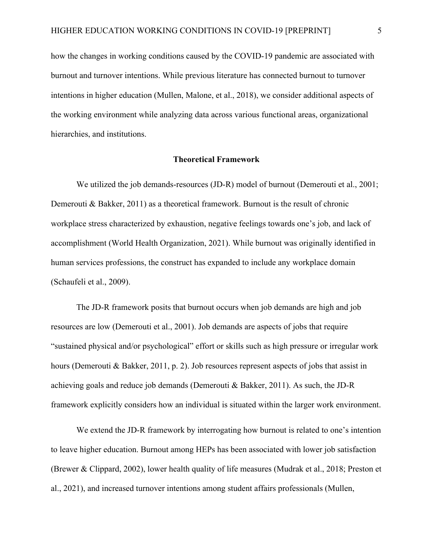how the changes in working conditions caused by the COVID-19 pandemic are associated with burnout and turnover intentions. While previous literature has connected burnout to turnover intentions in higher education (Mullen, Malone, et al., 2018), we consider additional aspects of the working environment while analyzing data across various functional areas, organizational hierarchies, and institutions.

## **Theoretical Framework**

We utilized the job demands-resources (JD-R) model of burnout (Demerouti et al., 2001; Demerouti & Bakker, 2011) as a theoretical framework. Burnout is the result of chronic workplace stress characterized by exhaustion, negative feelings towards one's job, and lack of accomplishment (World Health Organization, 2021). While burnout was originally identified in human services professions, the construct has expanded to include any workplace domain (Schaufeli et al., 2009).

The JD-R framework posits that burnout occurs when job demands are high and job resources are low (Demerouti et al., 2001). Job demands are aspects of jobs that require "sustained physical and/or psychological" effort or skills such as high pressure or irregular work hours (Demerouti & Bakker, 2011, p. 2). Job resources represent aspects of jobs that assist in achieving goals and reduce job demands (Demerouti & Bakker, 2011). As such, the JD-R framework explicitly considers how an individual is situated within the larger work environment.

We extend the JD-R framework by interrogating how burnout is related to one's intention to leave higher education. Burnout among HEPs has been associated with lower job satisfaction (Brewer & Clippard, 2002), lower health quality of life measures (Mudrak et al., 2018; Preston et al., 2021), and increased turnover intentions among student affairs professionals (Mullen,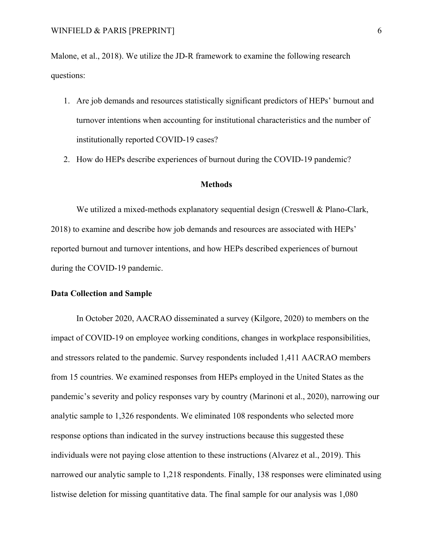Malone, et al., 2018). We utilize the JD-R framework to examine the following research questions:

- 1. Are job demands and resources statistically significant predictors of HEPs' burnout and turnover intentions when accounting for institutional characteristics and the number of institutionally reported COVID-19 cases?
- 2. How do HEPs describe experiences of burnout during the COVID-19 pandemic?

#### **Methods**

We utilized a mixed-methods explanatory sequential design (Creswell & Plano-Clark, 2018) to examine and describe how job demands and resources are associated with HEPs' reported burnout and turnover intentions, and how HEPs described experiences of burnout during the COVID-19 pandemic.

#### **Data Collection and Sample**

In October 2020, AACRAO disseminated a survey (Kilgore, 2020) to members on the impact of COVID-19 on employee working conditions, changes in workplace responsibilities, and stressors related to the pandemic. Survey respondents included 1,411 AACRAO members from 15 countries. We examined responses from HEPs employed in the United States as the pandemic's severity and policy responses vary by country (Marinoni et al., 2020), narrowing our analytic sample to 1,326 respondents. We eliminated 108 respondents who selected more response options than indicated in the survey instructions because this suggested these individuals were not paying close attention to these instructions (Alvarez et al., 2019). This narrowed our analytic sample to 1,218 respondents. Finally, 138 responses were eliminated using listwise deletion for missing quantitative data. The final sample for our analysis was 1,080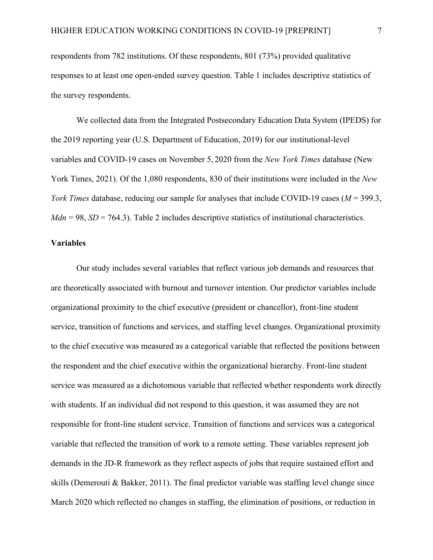respondents from 782 institutions. Of these respondents, 801 (73%) provided qualitative responses to at least one open-ended survey question. Table 1 includes descriptive statistics of the survey respondents.

We collected data from the Integrated Postsecondary Education Data System (IPEDS) for the 2019 reporting year (U.S. Department of Education, 2019) for our institutional-level variables and COVID-19 cases on November 5, 2020 from the *New York Times* database (New York Times, 2021). Of the 1,080 respondents, 830 of their institutions were included in the *New York Times* database, reducing our sample for analyses that include COVID-19 cases (*M* = 399.3,  $Mdn = 98$ ,  $SD = 764.3$ ). Table 2 includes descriptive statistics of institutional characteristics.

#### **Variables**

Our study includes several variables that reflect various job demands and resources that are theoretically associated with burnout and turnover intention. Our predictor variables include organizational proximity to the chief executive (president or chancellor), front-line student service, transition of functions and services, and staffing level changes. Organizational proximity to the chief executive was measured as a categorical variable that reflected the positions between the respondent and the chief executive within the organizational hierarchy. Front-line student service was measured as a dichotomous variable that reflected whether respondents work directly with students. If an individual did not respond to this question, it was assumed they are not responsible for front-line student service. Transition of functions and services was a categorical variable that reflected the transition of work to a remote setting. These variables represent job demands in the JD-R framework as they reflect aspects of jobs that require sustained effort and skills (Demerouti & Bakker, 2011). The final predictor variable was staffing level change since March 2020 which reflected no changes in staffing, the elimination of positions, or reduction in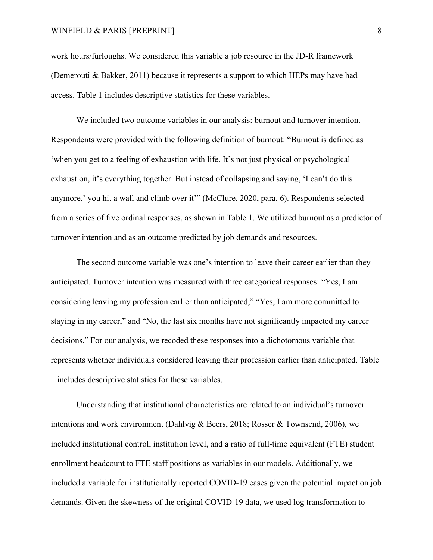### WINFIELD & PARIS [PREPRINT] 8

work hours/furloughs. We considered this variable a job resource in the JD-R framework (Demerouti & Bakker, 2011) because it represents a support to which HEPs may have had access. Table 1 includes descriptive statistics for these variables.

We included two outcome variables in our analysis: burnout and turnover intention. Respondents were provided with the following definition of burnout: "Burnout is defined as 'when you get to a feeling of exhaustion with life. It's not just physical or psychological exhaustion, it's everything together. But instead of collapsing and saying, 'I can't do this anymore,' you hit a wall and climb over it'" (McClure, 2020, para. 6). Respondents selected from a series of five ordinal responses, as shown in Table 1. We utilized burnout as a predictor of turnover intention and as an outcome predicted by job demands and resources.

The second outcome variable was one's intention to leave their career earlier than they anticipated. Turnover intention was measured with three categorical responses: "Yes, I am considering leaving my profession earlier than anticipated," "Yes, I am more committed to staying in my career," and "No, the last six months have not significantly impacted my career decisions." For our analysis, we recoded these responses into a dichotomous variable that represents whether individuals considered leaving their profession earlier than anticipated. Table 1 includes descriptive statistics for these variables.

Understanding that institutional characteristics are related to an individual's turnover intentions and work environment (Dahlvig & Beers, 2018; Rosser & Townsend, 2006), we included institutional control, institution level, and a ratio of full-time equivalent (FTE) student enrollment headcount to FTE staff positions as variables in our models. Additionally, we included a variable for institutionally reported COVID-19 cases given the potential impact on job demands. Given the skewness of the original COVID-19 data, we used log transformation to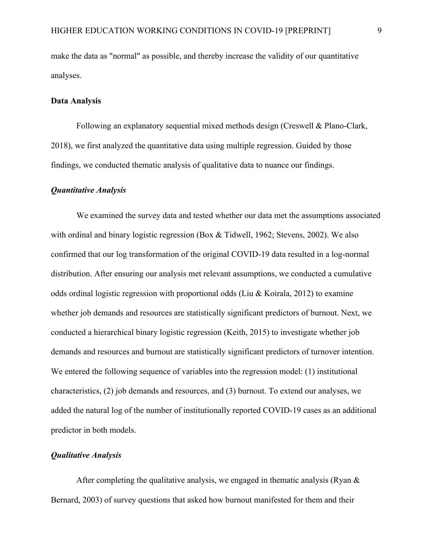make the data as "normal" as possible, and thereby increase the validity of our quantitative analyses.

## **Data Analysis**

Following an explanatory sequential mixed methods design (Creswell & Plano-Clark, 2018), we first analyzed the quantitative data using multiple regression. Guided by those findings, we conducted thematic analysis of qualitative data to nuance our findings.

### *Quantitative Analysis*

We examined the survey data and tested whether our data met the assumptions associated with ordinal and binary logistic regression (Box & Tidwell, 1962; Stevens, 2002). We also confirmed that our log transformation of the original COVID-19 data resulted in a log-normal distribution. After ensuring our analysis met relevant assumptions, we conducted a cumulative odds ordinal logistic regression with proportional odds (Liu & Koirala, 2012) to examine whether job demands and resources are statistically significant predictors of burnout. Next, we conducted a hierarchical binary logistic regression (Keith, 2015) to investigate whether job demands and resources and burnout are statistically significant predictors of turnover intention. We entered the following sequence of variables into the regression model: (1) institutional characteristics, (2) job demands and resources, and (3) burnout. To extend our analyses, we added the natural log of the number of institutionally reported COVID-19 cases as an additional predictor in both models.

# *Qualitative Analysis*

After completing the qualitative analysis, we engaged in thematic analysis (Ryan  $\&$ Bernard, 2003) of survey questions that asked how burnout manifested for them and their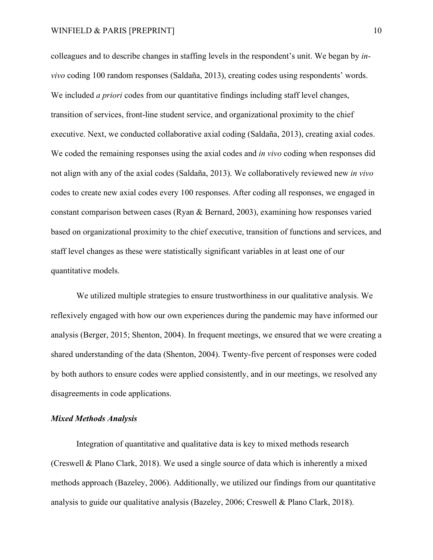#### WINFIELD & PARIS [PREPRINT] 10

colleagues and to describe changes in staffing levels in the respondent's unit. We began by *invivo* coding 100 random responses (Saldaña, 2013), creating codes using respondents' words. We included *a priori* codes from our quantitative findings including staff level changes, transition of services, front-line student service, and organizational proximity to the chief executive. Next, we conducted collaborative axial coding (Saldaña, 2013), creating axial codes. We coded the remaining responses using the axial codes and *in vivo* coding when responses did not align with any of the axial codes (Saldaña, 2013). We collaboratively reviewed new *in vivo* codes to create new axial codes every 100 responses. After coding all responses, we engaged in constant comparison between cases (Ryan & Bernard, 2003), examining how responses varied based on organizational proximity to the chief executive, transition of functions and services, and staff level changes as these were statistically significant variables in at least one of our quantitative models.

We utilized multiple strategies to ensure trustworthiness in our qualitative analysis. We reflexively engaged with how our own experiences during the pandemic may have informed our analysis (Berger, 2015; Shenton, 2004). In frequent meetings, we ensured that we were creating a shared understanding of the data (Shenton, 2004). Twenty-five percent of responses were coded by both authors to ensure codes were applied consistently, and in our meetings, we resolved any disagreements in code applications.

## *Mixed Methods Analysis*

Integration of quantitative and qualitative data is key to mixed methods research (Creswell & Plano Clark, 2018). We used a single source of data which is inherently a mixed methods approach (Bazeley, 2006). Additionally, we utilized our findings from our quantitative analysis to guide our qualitative analysis (Bazeley, 2006; Creswell & Plano Clark, 2018).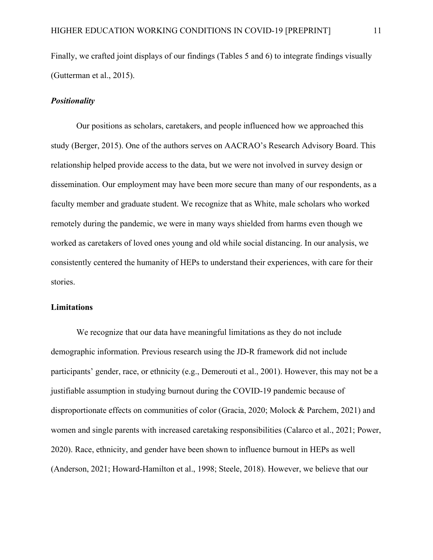Finally, we crafted joint displays of our findings (Tables 5 and 6) to integrate findings visually (Gutterman et al., 2015).

### *Positionality*

Our positions as scholars, caretakers, and people influenced how we approached this study (Berger, 2015). One of the authors serves on AACRAO's Research Advisory Board. This relationship helped provide access to the data, but we were not involved in survey design or dissemination. Our employment may have been more secure than many of our respondents, as a faculty member and graduate student. We recognize that as White, male scholars who worked remotely during the pandemic, we were in many ways shielded from harms even though we worked as caretakers of loved ones young and old while social distancing. In our analysis, we consistently centered the humanity of HEPs to understand their experiences, with care for their stories.

## **Limitations**

We recognize that our data have meaningful limitations as they do not include demographic information. Previous research using the JD-R framework did not include participants' gender, race, or ethnicity (e.g., Demerouti et al., 2001). However, this may not be a justifiable assumption in studying burnout during the COVID-19 pandemic because of disproportionate effects on communities of color (Gracia, 2020; Molock & Parchem, 2021) and women and single parents with increased caretaking responsibilities (Calarco et al., 2021; Power, 2020). Race, ethnicity, and gender have been shown to influence burnout in HEPs as well (Anderson, 2021; Howard-Hamilton et al., 1998; Steele, 2018). However, we believe that our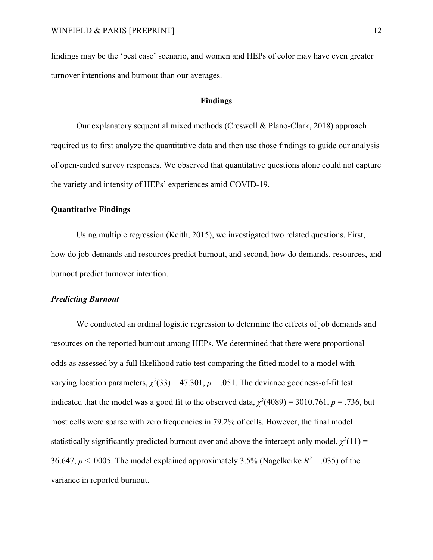findings may be the 'best case' scenario, and women and HEPs of color may have even greater turnover intentions and burnout than our averages.

#### **Findings**

Our explanatory sequential mixed methods (Creswell & Plano-Clark, 2018) approach required us to first analyze the quantitative data and then use those findings to guide our analysis of open-ended survey responses. We observed that quantitative questions alone could not capture the variety and intensity of HEPs' experiences amid COVID-19.

# **Quantitative Findings**

Using multiple regression (Keith, 2015), we investigated two related questions. First, how do job-demands and resources predict burnout, and second, how do demands, resources, and burnout predict turnover intention.

## *Predicting Burnout*

We conducted an ordinal logistic regression to determine the effects of job demands and resources on the reported burnout among HEPs. We determined that there were proportional odds as assessed by a full likelihood ratio test comparing the fitted model to a model with varying location parameters,  $\chi^2(33) = 47.301$ ,  $p = .051$ . The deviance goodness-of-fit test indicated that the model was a good fit to the observed data,  $\chi^2(4089) = 3010.761$ ,  $p = .736$ , but most cells were sparse with zero frequencies in 79.2% of cells. However, the final model statistically significantly predicted burnout over and above the intercept-only model,  $\chi^2(11)$  = 36.647,  $p < .0005$ . The model explained approximately 3.5% (Nagelkerke  $R^2 = .035$ ) of the variance in reported burnout.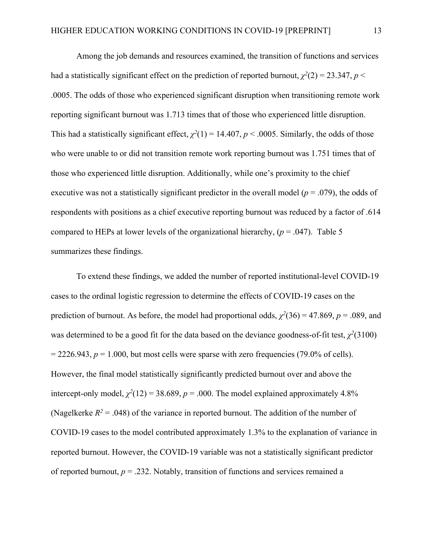Among the job demands and resources examined, the transition of functions and services had a statistically significant effect on the prediction of reported burnout,  $\chi^2(2) = 23.347$ ,  $p <$ .0005. The odds of those who experienced significant disruption when transitioning remote work reporting significant burnout was 1.713 times that of those who experienced little disruption. This had a statistically significant effect,  $\chi^2(1) = 14.407$ ,  $p < .0005$ . Similarly, the odds of those who were unable to or did not transition remote work reporting burnout was 1.751 times that of those who experienced little disruption. Additionally, while one's proximity to the chief executive was not a statistically significant predictor in the overall model (*p* = .079), the odds of respondents with positions as a chief executive reporting burnout was reduced by a factor of .614 compared to HEPs at lower levels of the organizational hierarchy,  $(p = .047)$ . Table 5 summarizes these findings.

To extend these findings, we added the number of reported institutional-level COVID-19 cases to the ordinal logistic regression to determine the effects of COVID-19 cases on the prediction of burnout. As before, the model had proportional odds,  $\chi^2(36) = 47.869$ ,  $p = .089$ , and was determined to be a good fit for the data based on the deviance goodness-of-fit test,  $\chi^2(3100)$  $= 2226.943$ ,  $p = 1.000$ , but most cells were sparse with zero frequencies (79.0% of cells). However, the final model statistically significantly predicted burnout over and above the intercept-only model,  $\chi^2(12) = 38.689$ ,  $p = .000$ . The model explained approximately 4.8% (Nagelkerke  $R^2$  = .048) of the variance in reported burnout. The addition of the number of COVID-19 cases to the model contributed approximately 1.3% to the explanation of variance in reported burnout. However, the COVID-19 variable was not a statistically significant predictor of reported burnout,  $p = 0.232$ . Notably, transition of functions and services remained a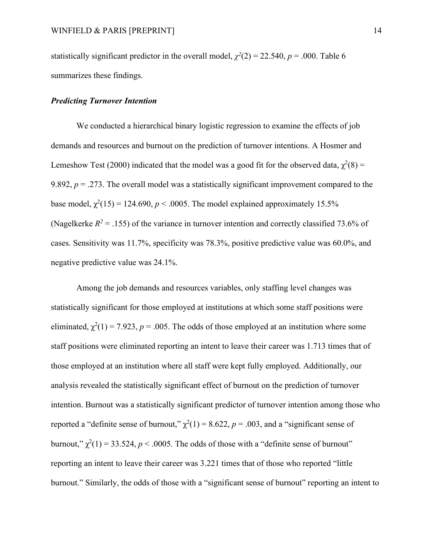statistically significant predictor in the overall model,  $\chi^2(2) = 22.540$ ,  $p = .000$ . Table 6 summarizes these findings.

#### *Predicting Turnover Intention*

We conducted a hierarchical binary logistic regression to examine the effects of job demands and resources and burnout on the prediction of turnover intentions. A Hosmer and Lemeshow Test (2000) indicated that the model was a good fit for the observed data,  $\chi^2(8)$  = 9.892,  $p = 0.273$ . The overall model was a statistically significant improvement compared to the base model,  $\chi^2(15) = 124.690$ ,  $p < .0005$ . The model explained approximately 15.5% (Nagelkerke  $R^2 = .155$ ) of the variance in turnover intention and correctly classified 73.6% of cases. Sensitivity was 11.7%, specificity was 78.3%, positive predictive value was 60.0%, and negative predictive value was 24.1%.

Among the job demands and resources variables, only staffing level changes was statistically significant for those employed at institutions at which some staff positions were eliminated,  $\chi^2(1) = 7.923$ ,  $p = .005$ . The odds of those employed at an institution where some staff positions were eliminated reporting an intent to leave their career was 1.713 times that of those employed at an institution where all staff were kept fully employed. Additionally, our analysis revealed the statistically significant effect of burnout on the prediction of turnover intention. Burnout was a statistically significant predictor of turnover intention among those who reported a "definite sense of burnout,"  $\chi^2(1) = 8.622$ ,  $p = .003$ , and a "significant sense of burnout,"  $\chi^2(1) = 33.524$ ,  $p < .0005$ . The odds of those with a "definite sense of burnout" reporting an intent to leave their career was 3.221 times that of those who reported "little burnout." Similarly, the odds of those with a "significant sense of burnout" reporting an intent to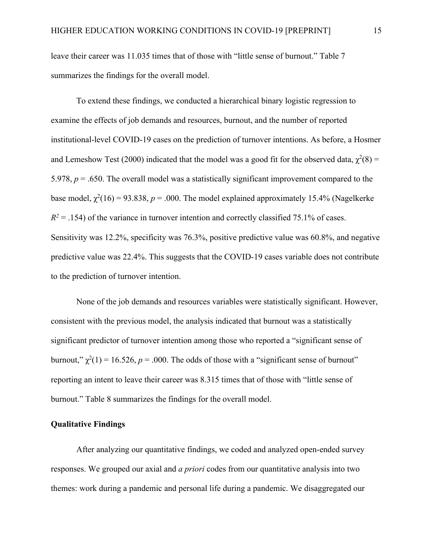leave their career was 11.035 times that of those with "little sense of burnout." Table 7 summarizes the findings for the overall model.

To extend these findings, we conducted a hierarchical binary logistic regression to examine the effects of job demands and resources, burnout, and the number of reported institutional-level COVID-19 cases on the prediction of turnover intentions. As before, a Hosmer and Lemeshow Test (2000) indicated that the model was a good fit for the observed data,  $\chi^2(8)$  = 5.978, *p* = .650. The overall model was a statistically significant improvement compared to the base model,  $\chi^2(16) = 93.838$ ,  $p = .000$ . The model explained approximately 15.4% (Nagelkerke  $R^2$  = .154) of the variance in turnover intention and correctly classified 75.1% of cases. Sensitivity was 12.2%, specificity was 76.3%, positive predictive value was 60.8%, and negative predictive value was 22.4%. This suggests that the COVID-19 cases variable does not contribute to the prediction of turnover intention.

None of the job demands and resources variables were statistically significant. However, consistent with the previous model, the analysis indicated that burnout was a statistically significant predictor of turnover intention among those who reported a "significant sense of burnout,"  $\chi^2(1) = 16.526$ ,  $p = .000$ . The odds of those with a "significant sense of burnout" reporting an intent to leave their career was 8.315 times that of those with "little sense of burnout." Table 8 summarizes the findings for the overall model.

### **Qualitative Findings**

After analyzing our quantitative findings, we coded and analyzed open-ended survey responses. We grouped our axial and *a priori* codes from our quantitative analysis into two themes: work during a pandemic and personal life during a pandemic. We disaggregated our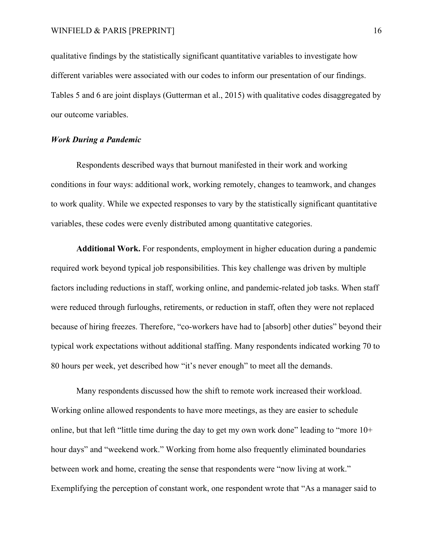qualitative findings by the statistically significant quantitative variables to investigate how different variables were associated with our codes to inform our presentation of our findings. Tables 5 and 6 are joint displays (Gutterman et al., 2015) with qualitative codes disaggregated by our outcome variables.

## *Work During a Pandemic*

Respondents described ways that burnout manifested in their work and working conditions in four ways: additional work, working remotely, changes to teamwork, and changes to work quality. While we expected responses to vary by the statistically significant quantitative variables, these codes were evenly distributed among quantitative categories.

**Additional Work.** For respondents, employment in higher education during a pandemic required work beyond typical job responsibilities. This key challenge was driven by multiple factors including reductions in staff, working online, and pandemic-related job tasks. When staff were reduced through furloughs, retirements, or reduction in staff, often they were not replaced because of hiring freezes. Therefore, "co-workers have had to [absorb] other duties" beyond their typical work expectations without additional staffing. Many respondents indicated working 70 to 80 hours per week, yet described how "it's never enough" to meet all the demands.

Many respondents discussed how the shift to remote work increased their workload. Working online allowed respondents to have more meetings, as they are easier to schedule online, but that left "little time during the day to get my own work done" leading to "more  $10<sup>+</sup>$ hour days" and "weekend work." Working from home also frequently eliminated boundaries between work and home, creating the sense that respondents were "now living at work." Exemplifying the perception of constant work, one respondent wrote that "As a manager said to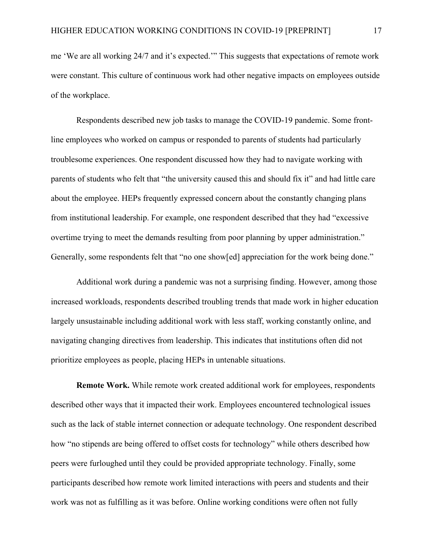me 'We are all working 24/7 and it's expected.'" This suggests that expectations of remote work were constant. This culture of continuous work had other negative impacts on employees outside of the workplace.

Respondents described new job tasks to manage the COVID-19 pandemic. Some frontline employees who worked on campus or responded to parents of students had particularly troublesome experiences. One respondent discussed how they had to navigate working with parents of students who felt that "the university caused this and should fix it" and had little care about the employee. HEPs frequently expressed concern about the constantly changing plans from institutional leadership. For example, one respondent described that they had "excessive overtime trying to meet the demands resulting from poor planning by upper administration." Generally, some respondents felt that "no one show[ed] appreciation for the work being done."

Additional work during a pandemic was not a surprising finding. However, among those increased workloads, respondents described troubling trends that made work in higher education largely unsustainable including additional work with less staff, working constantly online, and navigating changing directives from leadership. This indicates that institutions often did not prioritize employees as people, placing HEPs in untenable situations.

**Remote Work.** While remote work created additional work for employees, respondents described other ways that it impacted their work. Employees encountered technological issues such as the lack of stable internet connection or adequate technology. One respondent described how "no stipends are being offered to offset costs for technology" while others described how peers were furloughed until they could be provided appropriate technology. Finally, some participants described how remote work limited interactions with peers and students and their work was not as fulfilling as it was before. Online working conditions were often not fully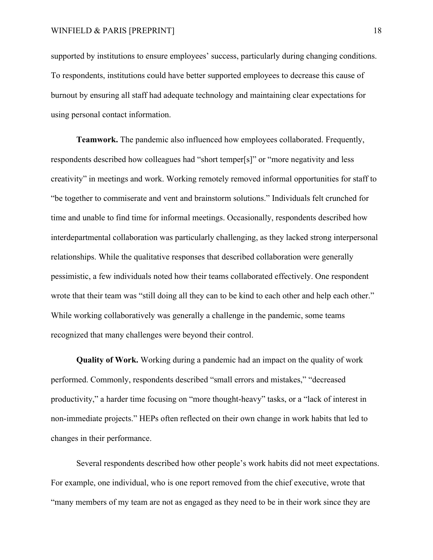supported by institutions to ensure employees' success, particularly during changing conditions. To respondents, institutions could have better supported employees to decrease this cause of burnout by ensuring all staff had adequate technology and maintaining clear expectations for using personal contact information.

**Teamwork.** The pandemic also influenced how employees collaborated. Frequently, respondents described how colleagues had "short temper[s]" or "more negativity and less creativity" in meetings and work. Working remotely removed informal opportunities for staff to "be together to commiserate and vent and brainstorm solutions." Individuals felt crunched for time and unable to find time for informal meetings. Occasionally, respondents described how interdepartmental collaboration was particularly challenging, as they lacked strong interpersonal relationships. While the qualitative responses that described collaboration were generally pessimistic, a few individuals noted how their teams collaborated effectively. One respondent wrote that their team was "still doing all they can to be kind to each other and help each other." While working collaboratively was generally a challenge in the pandemic, some teams recognized that many challenges were beyond their control.

**Quality of Work.** Working during a pandemic had an impact on the quality of work performed. Commonly, respondents described "small errors and mistakes," "decreased productivity," a harder time focusing on "more thought-heavy" tasks, or a "lack of interest in non-immediate projects." HEPs often reflected on their own change in work habits that led to changes in their performance.

Several respondents described how other people's work habits did not meet expectations. For example, one individual, who is one report removed from the chief executive, wrote that "many members of my team are not as engaged as they need to be in their work since they are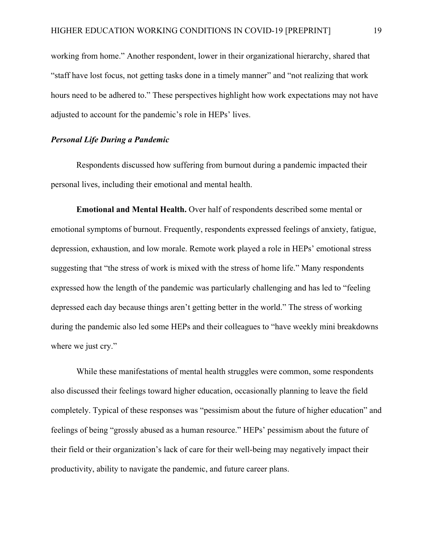working from home." Another respondent, lower in their organizational hierarchy, shared that "staff have lost focus, not getting tasks done in a timely manner" and "not realizing that work hours need to be adhered to." These perspectives highlight how work expectations may not have adjusted to account for the pandemic's role in HEPs' lives.

## *Personal Life During a Pandemic*

Respondents discussed how suffering from burnout during a pandemic impacted their personal lives, including their emotional and mental health.

**Emotional and Mental Health.** Over half of respondents described some mental or emotional symptoms of burnout. Frequently, respondents expressed feelings of anxiety, fatigue, depression, exhaustion, and low morale. Remote work played a role in HEPs' emotional stress suggesting that "the stress of work is mixed with the stress of home life." Many respondents expressed how the length of the pandemic was particularly challenging and has led to "feeling depressed each day because things aren't getting better in the world." The stress of working during the pandemic also led some HEPs and their colleagues to "have weekly mini breakdowns where we just cry."

While these manifestations of mental health struggles were common, some respondents also discussed their feelings toward higher education, occasionally planning to leave the field completely. Typical of these responses was "pessimism about the future of higher education" and feelings of being "grossly abused as a human resource." HEPs' pessimism about the future of their field or their organization's lack of care for their well-being may negatively impact their productivity, ability to navigate the pandemic, and future career plans.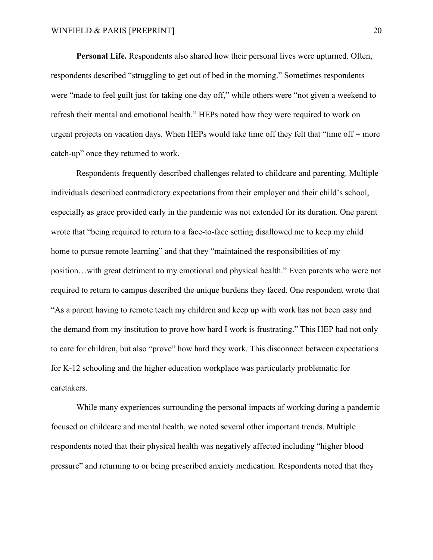**Personal Life.** Respondents also shared how their personal lives were upturned. Often, respondents described "struggling to get out of bed in the morning." Sometimes respondents were "made to feel guilt just for taking one day off," while others were "not given a weekend to refresh their mental and emotional health." HEPs noted how they were required to work on urgent projects on vacation days. When HEPs would take time off they felt that "time off  $=$  more catch-up" once they returned to work.

Respondents frequently described challenges related to childcare and parenting. Multiple individuals described contradictory expectations from their employer and their child's school, especially as grace provided early in the pandemic was not extended for its duration. One parent wrote that "being required to return to a face-to-face setting disallowed me to keep my child home to pursue remote learning" and that they "maintained the responsibilities of my position…with great detriment to my emotional and physical health." Even parents who were not required to return to campus described the unique burdens they faced. One respondent wrote that "As a parent having to remote teach my children and keep up with work has not been easy and the demand from my institution to prove how hard I work is frustrating." This HEP had not only to care for children, but also "prove" how hard they work. This disconnect between expectations for K-12 schooling and the higher education workplace was particularly problematic for caretakers.

While many experiences surrounding the personal impacts of working during a pandemic focused on childcare and mental health, we noted several other important trends. Multiple respondents noted that their physical health was negatively affected including "higher blood pressure" and returning to or being prescribed anxiety medication. Respondents noted that they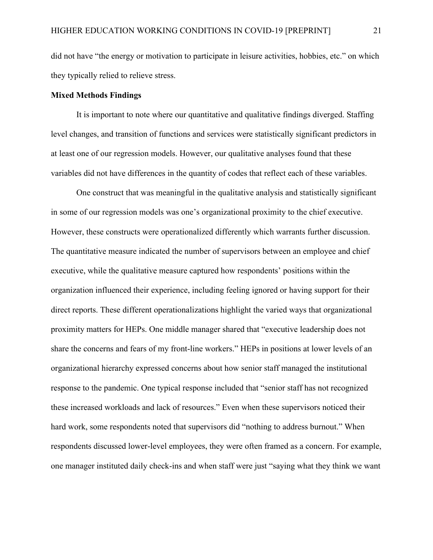did not have "the energy or motivation to participate in leisure activities, hobbies, etc." on which they typically relied to relieve stress.

#### **Mixed Methods Findings**

It is important to note where our quantitative and qualitative findings diverged. Staffing level changes, and transition of functions and services were statistically significant predictors in at least one of our regression models. However, our qualitative analyses found that these variables did not have differences in the quantity of codes that reflect each of these variables.

One construct that was meaningful in the qualitative analysis and statistically significant in some of our regression models was one's organizational proximity to the chief executive. However, these constructs were operationalized differently which warrants further discussion. The quantitative measure indicated the number of supervisors between an employee and chief executive, while the qualitative measure captured how respondents' positions within the organization influenced their experience, including feeling ignored or having support for their direct reports. These different operationalizations highlight the varied ways that organizational proximity matters for HEPs. One middle manager shared that "executive leadership does not share the concerns and fears of my front-line workers." HEPs in positions at lower levels of an organizational hierarchy expressed concerns about how senior staff managed the institutional response to the pandemic. One typical response included that "senior staff has not recognized these increased workloads and lack of resources." Even when these supervisors noticed their hard work, some respondents noted that supervisors did "nothing to address burnout." When respondents discussed lower-level employees, they were often framed as a concern. For example, one manager instituted daily check-ins and when staff were just "saying what they think we want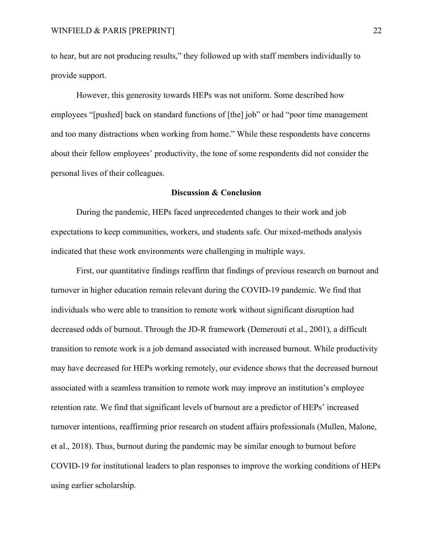to hear, but are not producing results," they followed up with staff members individually to provide support.

However, this generosity towards HEPs was not uniform. Some described how employees "[pushed] back on standard functions of [the] job" or had "poor time management and too many distractions when working from home." While these respondents have concerns about their fellow employees' productivity, the tone of some respondents did not consider the personal lives of their colleagues.

#### **Discussion & Conclusion**

During the pandemic, HEPs faced unprecedented changes to their work and job expectations to keep communities, workers, and students safe. Our mixed-methods analysis indicated that these work environments were challenging in multiple ways.

First, our quantitative findings reaffirm that findings of previous research on burnout and turnover in higher education remain relevant during the COVID-19 pandemic. We find that individuals who were able to transition to remote work without significant disruption had decreased odds of burnout. Through the JD-R framework (Demerouti et al., 2001), a difficult transition to remote work is a job demand associated with increased burnout. While productivity may have decreased for HEPs working remotely, our evidence shows that the decreased burnout associated with a seamless transition to remote work may improve an institution's employee retention rate. We find that significant levels of burnout are a predictor of HEPs' increased turnover intentions, reaffirming prior research on student affairs professionals (Mullen, Malone, et al., 2018). Thus, burnout during the pandemic may be similar enough to burnout before COVID-19 for institutional leaders to plan responses to improve the working conditions of HEPs using earlier scholarship.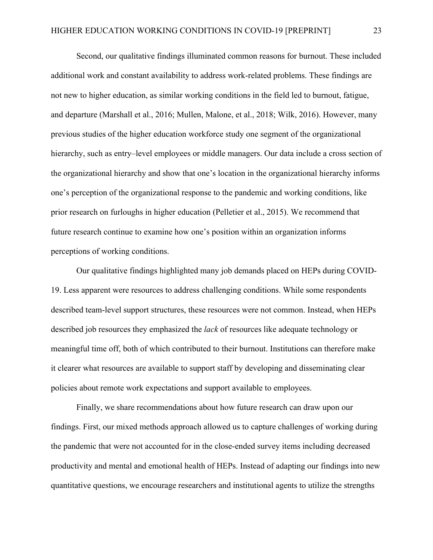Second, our qualitative findings illuminated common reasons for burnout. These included additional work and constant availability to address work-related problems. These findings are not new to higher education, as similar working conditions in the field led to burnout, fatigue, and departure (Marshall et al., 2016; Mullen, Malone, et al., 2018; Wilk, 2016). However, many previous studies of the higher education workforce study one segment of the organizational hierarchy, such as entry–level employees or middle managers. Our data include a cross section of the organizational hierarchy and show that one's location in the organizational hierarchy informs one's perception of the organizational response to the pandemic and working conditions, like prior research on furloughs in higher education (Pelletier et al., 2015). We recommend that future research continue to examine how one's position within an organization informs perceptions of working conditions.

Our qualitative findings highlighted many job demands placed on HEPs during COVID-19. Less apparent were resources to address challenging conditions. While some respondents described team-level support structures, these resources were not common. Instead, when HEPs described job resources they emphasized the *lack* of resources like adequate technology or meaningful time off, both of which contributed to their burnout. Institutions can therefore make it clearer what resources are available to support staff by developing and disseminating clear policies about remote work expectations and support available to employees.

Finally, we share recommendations about how future research can draw upon our findings. First, our mixed methods approach allowed us to capture challenges of working during the pandemic that were not accounted for in the close-ended survey items including decreased productivity and mental and emotional health of HEPs. Instead of adapting our findings into new quantitative questions, we encourage researchers and institutional agents to utilize the strengths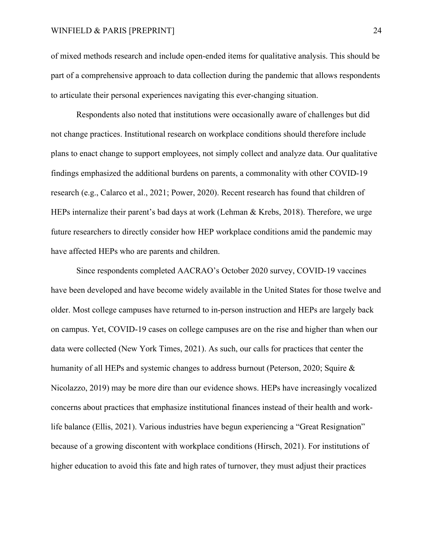### WINFIELD & PARIS [PREPRINT] 24

of mixed methods research and include open-ended items for qualitative analysis. This should be part of a comprehensive approach to data collection during the pandemic that allows respondents to articulate their personal experiences navigating this ever-changing situation.

Respondents also noted that institutions were occasionally aware of challenges but did not change practices. Institutional research on workplace conditions should therefore include plans to enact change to support employees, not simply collect and analyze data. Our qualitative findings emphasized the additional burdens on parents, a commonality with other COVID-19 research (e.g., Calarco et al., 2021; Power, 2020). Recent research has found that children of HEPs internalize their parent's bad days at work (Lehman & Krebs, 2018). Therefore, we urge future researchers to directly consider how HEP workplace conditions amid the pandemic may have affected HEPs who are parents and children.

Since respondents completed AACRAO's October 2020 survey, COVID-19 vaccines have been developed and have become widely available in the United States for those twelve and older. Most college campuses have returned to in-person instruction and HEPs are largely back on campus. Yet, COVID-19 cases on college campuses are on the rise and higher than when our data were collected (New York Times, 2021). As such, our calls for practices that center the humanity of all HEPs and systemic changes to address burnout (Peterson, 2020; Squire & Nicolazzo, 2019) may be more dire than our evidence shows. HEPs have increasingly vocalized concerns about practices that emphasize institutional finances instead of their health and worklife balance (Ellis, 2021). Various industries have begun experiencing a "Great Resignation" because of a growing discontent with workplace conditions (Hirsch, 2021). For institutions of higher education to avoid this fate and high rates of turnover, they must adjust their practices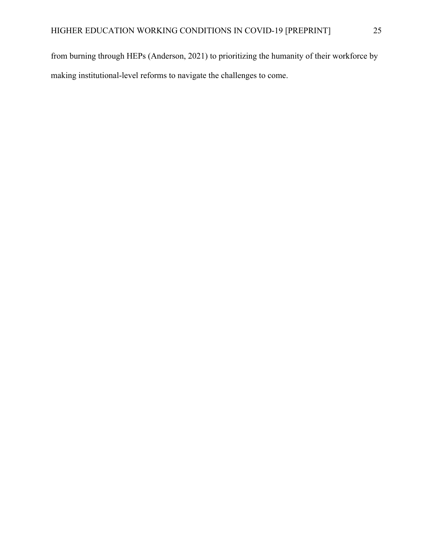from burning through HEPs (Anderson, 2021) to prioritizing the humanity of their workforce by making institutional-level reforms to navigate the challenges to come.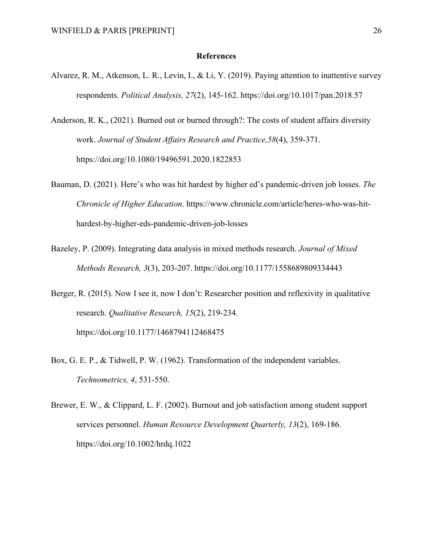#### **References**

- Alvarez, R. M., Atkenson, L. R., Levin, I., & Li, Y. (2019). Paying attention to inattentive survey respondents. *Political Analysis, 27*(2), 145-162. https://doi.org/10.1017/pan.2018.57
- Anderson, R. K., (2021). Burned out or burned through?: The costs of student affairs diversity work. *Journal of Student Affairs Research and Practice,58*(4), 359-371. https://doi.org/10.1080/19496591.2020.1822853
- Bauman, D. (2021). Here's who was hit hardest by higher ed's pandemic-driven job losses. *The Chronicle of Higher Education*. https://www.chronicle.com/article/heres-who-was-hithardest-by-higher-eds-pandemic-driven-job-losses
- Bazeley, P. (2009). Integrating data analysis in mixed methods research. *Journal of Mixed Methods Research, 3*(3), 203-207. https://doi.org/10.1177/1558689809334443
- Berger, R. (2015). Now I see it, now I don't: Researcher position and reflexivity in qualitative research. *Qualitative Research, 15*(2), 219-234. https://doi.org/10.1177/1468794112468475
- Box, G. E. P., & Tidwell, P. W. (1962). Transformation of the independent variables. *Technometrics, 4*, 531-550.
- Brewer, E. W., & Clippard, L. F. (2002). Burnout and job satisfaction among student support services personnel. *Human Resource Development Quarterly, 13*(2), 169-186. https://doi.org/10.1002/hrdq.1022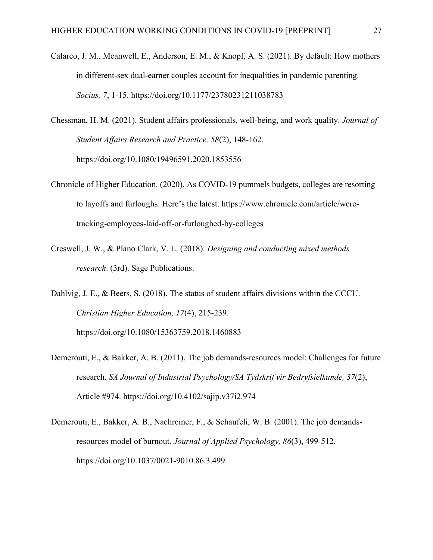- Calarco, J. M., Meanwell, E., Anderson, E. M., & Knopf, A. S. (2021). By default: How mothers in different-sex dual-earner couples account for inequalities in pandemic parenting. *Socius, 7*, 1-15. https://doi.org/10.1177/23780231211038783
- Chessman, H. M. (2021). Student affairs professionals, well-being, and work quality. *Journal of Student Affairs Research and Practice, 58*(2), 148-162. https://doi.org/10.1080/19496591.2020.1853556
- Chronicle of Higher Education. (2020). As COVID-19 pummels budgets, colleges are resorting to layoffs and furloughs: Here's the latest. https://www.chronicle.com/article/weretracking-employees-laid-off-or-furloughed-by-colleges
- Creswell, J. W., & Plano Clark, V. L. (2018). *Designing and conducting mixed methods research*. (3rd). Sage Publications.
- Dahlvig, J. E., & Beers, S. (2018). The status of student affairs divisions within the CCCU. *Christian Higher Education, 17*(4), 215-239. https://doi.org/10.1080/15363759.2018.1460883
- Demerouti, E., & Bakker, A. B. (2011). The job demands-resources model: Challenges for future research. *SA Journal of Industrial Psychology/SA Tydskrif vir Bedryfsielkunde, 37*(2), Article #974. https://doi.org/10.4102/sajip.v37i2.974
- Demerouti, E., Bakker, A. B., Nachreiner, F., & Schaufeli, W. B. (2001). The job demandsresources model of burnout. *Journal of Applied Psychology, 86*(3), 499-512. https://doi.org/10.1037/0021-9010.86.3.499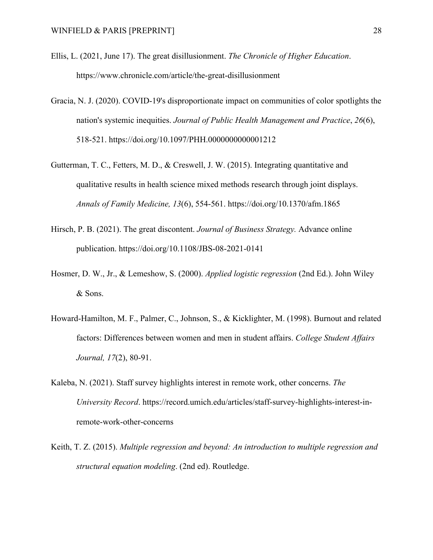- Ellis, L. (2021, June 17). The great disillusionment. *The Chronicle of Higher Education*. https://www.chronicle.com/article/the-great-disillusionment
- Gracia, N. J. (2020). COVID-19's disproportionate impact on communities of color spotlights the nation's systemic inequities. *Journal of Public Health Management and Practice*, *26*(6), 518-521. https://doi.org/10.1097/PHH.0000000000001212
- Gutterman, T. C., Fetters, M. D., & Creswell, J. W. (2015). Integrating quantitative and qualitative results in health science mixed methods research through joint displays. *Annals of Family Medicine, 13*(6), 554-561. https://doi.org/10.1370/afm.1865
- Hirsch, P. B. (2021). The great discontent. *Journal of Business Strategy.* Advance online publication. https://doi.org/10.1108/JBS-08-2021-0141
- Hosmer, D. W., Jr., & Lemeshow, S. (2000). *Applied logistic regression* (2nd Ed.). John Wiley & Sons.
- Howard-Hamilton, M. F., Palmer, C., Johnson, S., & Kicklighter, M. (1998). Burnout and related factors: Differences between women and men in student affairs. *College Student Affairs Journal, 17*(2), 80-91.
- Kaleba, N. (2021). Staff survey highlights interest in remote work, other concerns. *The University Record*. https://record.umich.edu/articles/staff-survey-highlights-interest-inremote-work-other-concerns
- Keith, T. Z. (2015). *Multiple regression and beyond: An introduction to multiple regression and structural equation modeling*. (2nd ed). Routledge.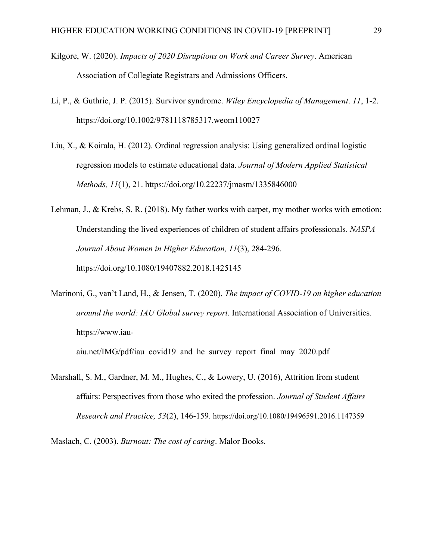- Kilgore, W. (2020). *Impacts of 2020 Disruptions on Work and Career Survey*. American Association of Collegiate Registrars and Admissions Officers.
- Li, P., & Guthrie, J. P. (2015). Survivor syndrome. *Wiley Encyclopedia of Management*. *11*, 1-2. https://doi.org/10.1002/9781118785317.weom110027
- Liu, X., & Koirala, H. (2012). Ordinal regression analysis: Using generalized ordinal logistic regression models to estimate educational data. *Journal of Modern Applied Statistical Methods, 11*(1), 21. https://doi.org/10.22237/jmasm/1335846000
- Lehman, J., & Krebs, S. R. (2018). My father works with carpet, my mother works with emotion: Understanding the lived experiences of children of student affairs professionals. *NASPA Journal About Women in Higher Education, 11*(3), 284-296. https://doi.org/10.1080/19407882.2018.1425145
- Marinoni, G., van't Land, H., & Jensen, T. (2020). *The impact of COVID-19 on higher education around the world: IAU Global survey report*. International Association of Universities. https://www.iau-

aiu.net/IMG/pdf/iau\_covid19\_and\_he\_survey\_report\_final\_may\_2020.pdf

Marshall, S. M., Gardner, M. M., Hughes, C., & Lowery, U. (2016), Attrition from student affairs: Perspectives from those who exited the profession. *Journal of Student Affairs Research and Practice, 53*(2), 146-159. https://doi.org/10.1080/19496591.2016.1147359

Maslach, C. (2003). *Burnout: The cost of caring*. Malor Books.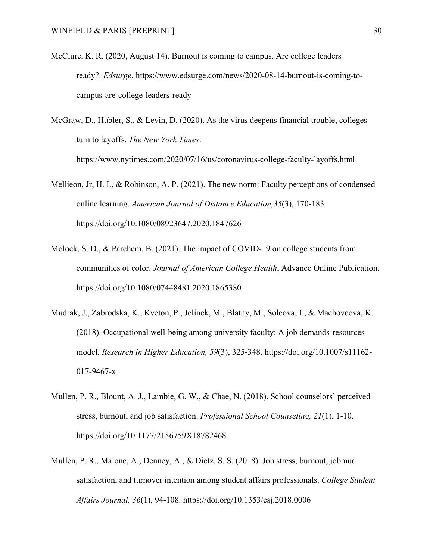- McClure, K. R. (2020, August 14). Burnout is coming to campus. Are college leaders ready?. *Edsurge*. https://www.edsurge.com/news/2020-08-14-burnout-is-coming-tocampus-are-college-leaders-ready
- McGraw, D., Hubler, S., & Levin, D. (2020). As the virus deepens financial trouble, colleges turn to layoffs. *The New York Times*. https://www.nytimes.com/2020/07/16/us/coronavirus-college-faculty-layoffs.html
- Mellieon, Jr, H. I., & Robinson, A. P. (2021). The new norm: Faculty perceptions of condensed online learning. *American Journal of Distance Education,35*(3), 170-183*.* https://doi.org/10.1080/08923647.2020.1847626
- Molock, S. D., & Parchem, B. (2021). The impact of COVID-19 on college students from communities of color. *Journal of American College Health*, Advance Online Publication. https://doi.org/10.1080/07448481.2020.1865380
- Mudrak, J., Zabrodska, K., Kveton, P., Jelinek, M., Blatny, M., Solcova, I., & Machovcova, K. (2018). Occupational well-being among university faculty: A job demands-resources model. *Research in Higher Education, 59*(3), 325-348. https://doi.org/10.1007/s11162- 017-9467-x
- Mullen, P. R., Blount, A. J., Lambie, G. W., & Chae, N. (2018). School counselors' perceived stress, burnout, and job satisfaction. *Professional School Counseling, 21*(1), 1-10. https://doi.org/10.1177/2156759X18782468
- Mullen, P. R., Malone, A., Denney, A., & Dietz, S. S. (2018). Job stress, burnout, jobmud satisfaction, and turnover intention among student affairs professionals. *College Student Affairs Journal, 36*(1), 94-108. https://doi.org/10.1353/csj.2018.0006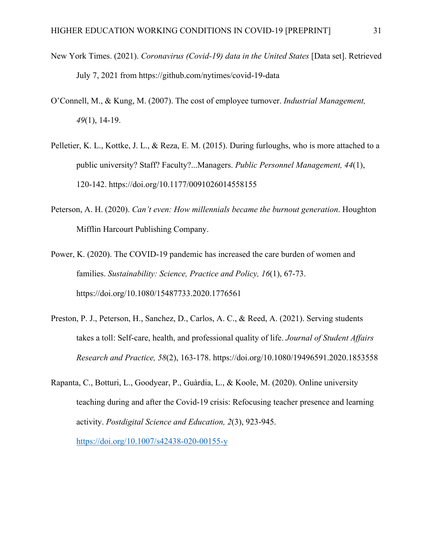- New York Times. (2021). *Coronavirus (Covid-19) data in the United States* [Data set]. Retrieved July 7, 2021 from https://github.com/nytimes/covid-19-data
- O'Connell, M., & Kung, M. (2007). The cost of employee turnover. *Industrial Management, 49*(1), 14-19.
- Pelletier, K. L., Kottke, J. L., & Reza, E. M. (2015). During furloughs, who is more attached to a public university? Staff? Faculty?...Managers. *Public Personnel Management, 44*(1), 120-142. https://doi.org/10.1177/0091026014558155
- Peterson, A. H. (2020). *Can't even: How millennials became the burnout generation*. Houghton Mifflin Harcourt Publishing Company.
- Power, K. (2020). The COVID-19 pandemic has increased the care burden of women and families. *Sustainability: Science, Practice and Policy, 16*(1), 67-73. https://doi.org/10.1080/15487733.2020.1776561
- Preston, P. J., Peterson, H., Sanchez, D., Carlos, A. C., & Reed, A. (2021). Serving students takes a toll: Self-care, health, and professional quality of life. *Journal of Student Affairs Research and Practice, 58*(2), 163-178. https://doi.org/10.1080/19496591.2020.1853558
- Rapanta, C., Botturi, L., Goodyear, P., Guàrdia, L., & Koole, M. (2020). Online university teaching during and after the Covid-19 crisis: Refocusing teacher presence and learning activity. *Postdigital Science and Education, 2*(3), 923-945.

<https://doi.org/10.1007/s42438-020-00155-y>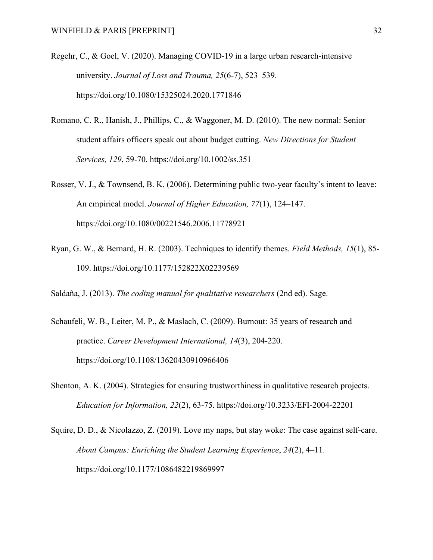- Regehr, C., & Goel, V. (2020). Managing COVID-19 in a large urban research-intensive university. *Journal of Loss and Trauma, 25*(6-7), 523–539. https://doi.org/10.1080/15325024.2020.1771846
- Romano, C. R., Hanish, J., Phillips, C., & Waggoner, M. D. (2010). The new normal: Senior student affairs officers speak out about budget cutting. *New Directions for Student Services, 129*, 59-70. https://doi.org/10.1002/ss.351
- Rosser, V. J., & Townsend, B. K. (2006). Determining public two-year faculty's intent to leave: An empirical model. *Journal of Higher Education, 77*(1), 124–147. https://doi.org/10.1080/00221546.2006.11778921
- Ryan, G. W., & Bernard, H. R. (2003). Techniques to identify themes. *Field Methods, 15*(1), 85- 109. https://doi.org/10.1177/152822X02239569
- Saldaña, J. (2013). *The coding manual for qualitative researchers* (2nd ed). Sage.
- Schaufeli, W. B., Leiter, M. P., & Maslach, C. (2009). Burnout: 35 years of research and practice. *Career Development International, 14*(3), 204-220. https://doi.org/10.1108/13620430910966406
- Shenton, A. K. (2004). Strategies for ensuring trustworthiness in qualitative research projects. *Education for Information, 22*(2), 63-75. https://doi.org/10.3233/EFI-2004-22201
- Squire, D. D., & Nicolazzo, Z. (2019). Love my naps, but stay woke: The case against self-care. *About Campus: Enriching the Student Learning Experience*, *24*(2), 4–11. https://doi.org/10.1177/1086482219869997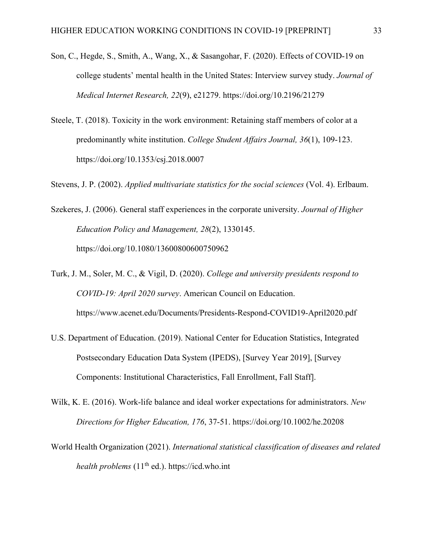- Son, C., Hegde, S., Smith, A., Wang, X., & Sasangohar, F. (2020). Effects of COVID-19 on college students' mental health in the United States: Interview survey study. *Journal of Medical Internet Research, 22*(9), e21279. https://doi.org/10.2196/21279
- Steele, T. (2018). Toxicity in the work environment: Retaining staff members of color at a predominantly white institution. *College Student Affairs Journal, 36*(1), 109-123. https://doi.org/10.1353/csj.2018.0007

Stevens, J. P. (2002). *Applied multivariate statistics for the social sciences* (Vol. 4). Erlbaum.

Szekeres, J. (2006). General staff experiences in the corporate university. *Journal of Higher Education Policy and Management, 28*(2), 1330145. https://doi.org/10.1080/13600800600750962

Turk, J. M., Soler, M. C., & Vigil, D. (2020). *College and university presidents respond to COVID-19: April 2020 survey*. American Council on Education. https://www.acenet.edu/Documents/Presidents-Respond-COVID19-April2020.pdf

- U.S. Department of Education. (2019). National Center for Education Statistics, Integrated Postsecondary Education Data System (IPEDS), [Survey Year 2019], [Survey Components: Institutional Characteristics, Fall Enrollment, Fall Staff].
- Wilk, K. E. (2016). Work-life balance and ideal worker expectations for administrators. *New Directions for Higher Education, 176*, 37-51. https://doi.org/10.1002/he.20208
- World Health Organization (2021). *International statistical classification of diseases and related health problems* (11<sup>th</sup> ed.). https://icd.who.int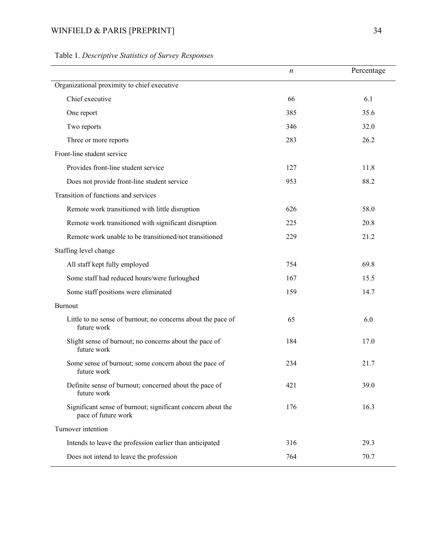# WINFIELD & PARIS [PREPRINT] 34

|                                                                                    | $\boldsymbol{n}$ | Percentage |
|------------------------------------------------------------------------------------|------------------|------------|
| Organizational proximity to chief executive                                        |                  |            |
| Chief executive                                                                    | 66               | 6.1        |
| One report                                                                         | 385              | 35.6       |
| Two reports                                                                        | 346              | 32.0       |
| Three or more reports                                                              | 283              | 26.2       |
| Front-line student service                                                         |                  |            |
| Provides front-line student service                                                | 127              | 11.8       |
| Does not provide front-line student service                                        | 953              | 88.2       |
| Transition of functions and services                                               |                  |            |
| Remote work transitioned with little disruption                                    | 626              | 58.0       |
| Remote work transitioned with significant disruption                               | 225              | 20.8       |
| Remote work unable to be transitioned/not transitioned                             | 229              | 21.2       |
| Staffing level change                                                              |                  |            |
| All staff kept fully employed                                                      | 754              | 69.8       |
| Some staff had reduced hours/were furloughed                                       | 167              | 15.5       |
| Some staff positions were eliminated                                               | 159              | 14.7       |
| Burnout                                                                            |                  |            |
| Little to no sense of burnout; no concerns about the pace of<br>future work        | 65               | 6.0        |
| Slight sense of burnout; no concerns about the pace of<br>future work              | 184              | 17.0       |
| Some sense of burnout; some concern about the pace of<br>future work               | 234              | 21.7       |
| Definite sense of burnout; concerned about the pace of<br>future work              | 421              | 39.0       |
| Significant sense of burnout; significant concern about the<br>pace of future work | 176              | 16.3       |
| Turnover intention                                                                 |                  |            |
| Intends to leave the profession earlier than anticipated                           | 316              | 29.3       |
| Does not intend to leave the profession                                            | 764              | 70.7       |

# Table 1. *Descriptive Statistics of Survey Responses*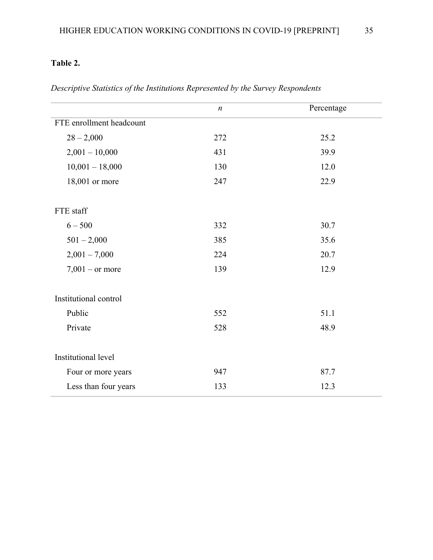# **Table 2.**

|                          | $\boldsymbol{n}$ | Percentage |
|--------------------------|------------------|------------|
| FTE enrollment headcount |                  |            |
| $28 - 2,000$             | 272              | 25.2       |
| $2,001 - 10,000$         | 431              | 39.9       |
| $10,001 - 18,000$        | 130              | 12.0       |
| 18,001 or more           | 247              | 22.9       |
|                          |                  |            |
| FTE staff                |                  |            |
| $6 - 500$                | 332              | 30.7       |
| $501 - 2,000$            | 385              | 35.6       |
| $2,001 - 7,000$          | 224              | 20.7       |
| $7,001$ – or more        | 139              | 12.9       |
|                          |                  |            |
| Institutional control    |                  |            |
| Public                   | 552              | 51.1       |
| Private                  | 528              | 48.9       |
|                          |                  |            |
| Institutional level      |                  |            |
| Four or more years       | 947              | 87.7       |
| Less than four years     | 133              | 12.3       |

*Descriptive Statistics of the Institutions Represented by the Survey Respondents*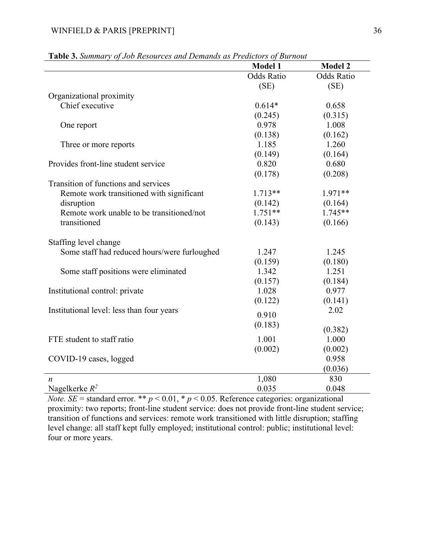|                                              | <b>Model 1</b>    | <b>Model 2</b>    |
|----------------------------------------------|-------------------|-------------------|
|                                              | <b>Odds Ratio</b> | <b>Odds Ratio</b> |
|                                              | (SE)              | (SE)              |
| Organizational proximity                     |                   |                   |
| Chief executive                              | $0.614*$          | 0.658             |
|                                              | (0.245)           | (0.315)           |
| One report                                   | 0.978             | 1.008             |
|                                              | (0.138)           | (0.162)           |
| Three or more reports                        | 1.185             | 1.260             |
|                                              | (0.149)           | (0.164)           |
| Provides front-line student service          | 0.820             | 0.680             |
|                                              | (0.178)           | (0.208)           |
| Transition of functions and services         |                   |                   |
| Remote work transitioned with significant    | $1.713**$         | 1.971**           |
| disruption                                   | (0.142)           | (0.164)           |
| Remote work unable to be transitioned/not    | $1.751**$         | $1.745**$         |
| transitioned                                 | (0.143)           | (0.166)           |
|                                              |                   |                   |
| Staffing level change                        |                   |                   |
| Some staff had reduced hours/were furloughed | 1.247             | 1.245             |
|                                              | (0.159)           | (0.180)           |
| Some staff positions were eliminated         | 1.342             | 1.251             |
|                                              | (0.157)           | (0.184)           |
| Institutional control: private               | 1.028             | 0.977             |
|                                              | (0.122)           | (0.141)           |
| Institutional level: less than four years    | 0.910             | 2.02              |
|                                              | (0.183)           |                   |
|                                              |                   | (0.382)           |
| FTE student to staff ratio                   | 1.001             | 1.000             |
|                                              | (0.002)           | (0.002)           |
| COVID-19 cases, logged                       |                   | 0.958             |
|                                              |                   | (0.036)           |
| $\boldsymbol{n}$                             | 1,080             | 830               |
| Nagelkerke $R^2$                             | 0.035             | 0.048             |

| Table 3. Summary of Job Resources and Demands as Predictors of Burnout |  |
|------------------------------------------------------------------------|--|
|------------------------------------------------------------------------|--|

*Note. SE* = standard error. \*\*  $p < 0.01$ , \*  $p < 0.05$ . Reference categories: organizational proximity: two reports; front-line student service: does not provide front-line student service; transition of functions and services: remote work transitioned with little disruption; staffing level change: all staff kept fully employed; institutional control: public; institutional level: four or more years.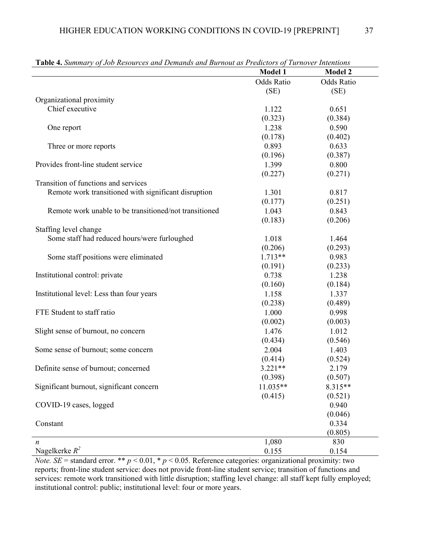| of ooo hesources and Bentanas and Burnout as I reductors of Turnover Intentions |                   |                |
|---------------------------------------------------------------------------------|-------------------|----------------|
|                                                                                 | <b>Model 1</b>    | <b>Model 2</b> |
|                                                                                 | <b>Odds Ratio</b> | Odds Ratio     |
|                                                                                 | (SE)              | (SE)           |
| Organizational proximity                                                        |                   |                |
| Chief executive                                                                 | 1.122             | 0.651          |
|                                                                                 | (0.323)           | (0.384)        |
| One report                                                                      | 1.238             | 0.590          |
|                                                                                 | (0.178)           | (0.402)        |
| Three or more reports                                                           | 0.893             | 0.633          |
|                                                                                 | (0.196)           | (0.387)        |
| Provides front-line student service                                             | 1.399             | 0.800          |
|                                                                                 | (0.227)           | (0.271)        |
| Transition of functions and services                                            |                   |                |
| Remote work transitioned with significant disruption                            | 1.301             | 0.817          |
|                                                                                 | (0.177)           | (0.251)        |
| Remote work unable to be transitioned/not transitioned                          | 1.043             | 0.843          |
|                                                                                 | (0.183)           | (0.206)        |
| Staffing level change                                                           |                   |                |
| Some staff had reduced hours/were furloughed                                    | 1.018             | 1.464          |
|                                                                                 | (0.206)           | (0.293)        |
| Some staff positions were eliminated                                            | $1.713**$         | 0.983          |
|                                                                                 | (0.191)           | (0.233)        |
| Institutional control: private                                                  | 0.738             | 1.238          |
|                                                                                 | (0.160)           | (0.184)        |
| Institutional level: Less than four years                                       | 1.158             | 1.337          |
|                                                                                 | (0.238)           | (0.489)        |
| FTE Student to staff ratio                                                      | 1.000             | 0.998          |
|                                                                                 | (0.002)           | (0.003)        |
| Slight sense of burnout, no concern                                             | 1.476             | 1.012          |
|                                                                                 | (0.434)           | (0.546)        |
| Some sense of burnout; some concern                                             | 2.004             | 1.403          |
|                                                                                 | (0.414)           | (0.524)        |
| Definite sense of burnout; concerned                                            | $3.221**$         | 2.179          |
|                                                                                 | (0.398)           | (0.507)        |
| Significant burnout, significant concern                                        | 11.035**          | 8.315**        |
|                                                                                 | (0.415)           | (0.521)        |
| COVID-19 cases, logged                                                          |                   | 0.940          |
|                                                                                 |                   | (0.046)        |
| Constant                                                                        |                   | 0.334          |
|                                                                                 |                   | (0.805)        |
| n                                                                               | 1,080             | 830            |
| Nagelkerke $R^2$                                                                | 0.155             | 0.154          |

**Table 4.** *Summary of Job Resources and Demands and Burnout as Predictors of Turnover Intentions*

*Note. SE* = standard error. \*\* *p* < 0.01, \* *p* < 0.05. Reference categories: organizational proximity: two reports; front-line student service: does not provide front-line student service; transition of functions and services: remote work transitioned with little disruption; staffing level change: all staff kept fully employed; institutional control: public; institutional level: four or more years.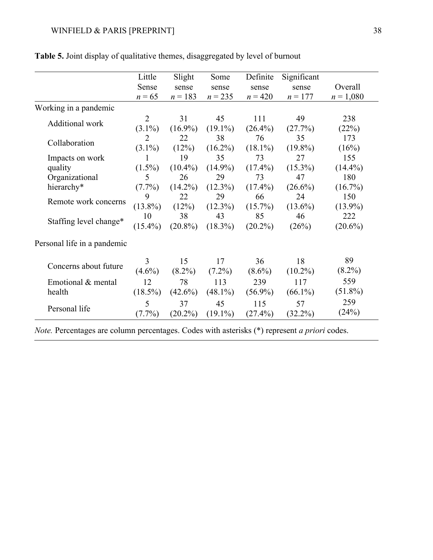|                             | Little         | Slight     | Some       | Definite   | Significant |             |
|-----------------------------|----------------|------------|------------|------------|-------------|-------------|
|                             | Sense          | sense      | sense      | sense      | sense       | Overall     |
|                             | $n = 65$       | $n = 183$  | $n = 235$  | $n = 420$  | $n = 177$   | $n = 1,080$ |
| Working in a pandemic       |                |            |            |            |             |             |
| Additional work             | $\overline{2}$ | 31         | 45         | 111        | 49          | 238         |
|                             | $(3.1\%)$      | $(16.9\%)$ | $(19.1\%)$ | $(26.4\%)$ | (27.7%)     | (22%)       |
| Collaboration               | $\overline{2}$ | 22         | 38         | 76         | 35          | 173         |
|                             | $(3.1\%)$      | (12%)      | $(16.2\%)$ | $(18.1\%)$ | $(19.8\%)$  | (16%)       |
| Impacts on work             | 1              | 19         | 35         | 73         | 27          | 155         |
| quality                     | $(1.5\%)$      | $(10.4\%)$ | $(14.9\%)$ | $(17.4\%)$ | $(15.3\%)$  | $(14.4\%)$  |
| Organizational              | 5              | 26         | 29         | 73         | 47          | 180         |
| hierarchy*                  | $(7.7\%)$      | $(14.2\%)$ | $(12.3\%)$ | $(17.4\%)$ | $(26.6\%)$  | $(16.7\%)$  |
| Remote work concerns        | 9              | 22         | 29         | 66         | 24          | 150         |
|                             | $(13.8\%)$     | (12%)      | $(12.3\%)$ | $(15.7\%)$ | $(13.6\%)$  | $(13.9\%)$  |
|                             | 10             | 38         | 43         | 85         | 46          | 222         |
| Staffing level change*      | $(15.4\%)$     | $(20.8\%)$ | $(18.3\%)$ | $(20.2\%)$ | (26%)       | $(20.6\%)$  |
| Personal life in a pandemic |                |            |            |            |             |             |
|                             | 3              | 15         | 17         | 36         | 18          | 89          |
| Concerns about future       | $(4.6\%)$      | $(8.2\%)$  | $(7.2\%)$  | $(8.6\%)$  | $(10.2\%)$  | $(8.2\%)$   |
| Emotional & mental          | 12             | 78         | 113        | 239        | 117         | 559         |
| health                      | $(18.5\%)$     | $(42.6\%)$ | $(48.1\%)$ | $(56.9\%)$ | $(66.1\%)$  | $(51.8\%)$  |
|                             | 5              | 37         | 45         | 115        | 57          | 259         |
| Personal life               | $(7.7\%)$      | $(20.2\%)$ | $(19.1\%)$ | $(27.4\%)$ | $(32.2\%)$  | (24%)       |
|                             |                |            |            |            |             |             |

**Table 5.** Joint display of qualitative themes, disaggregated by level of burnout

*Note.* Percentages are column percentages. Codes with asterisks (\*) represent *a priori* codes.